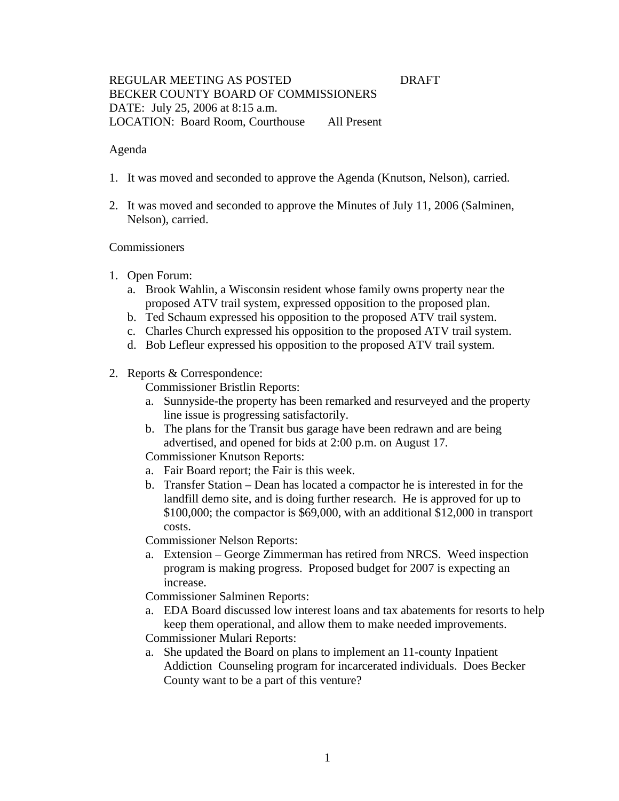### REGULAR MEETING AS POSTED **DRAFT** BECKER COUNTY BOARD OF COMMISSIONERS DATE: July 25, 2006 at 8:15 a.m. LOCATION: Board Room, Courthouse All Present

#### Agenda

- 1. It was moved and seconded to approve the Agenda (Knutson, Nelson), carried.
- 2. It was moved and seconded to approve the Minutes of July 11, 2006 (Salminen, Nelson), carried.

#### Commissioners

- 1. Open Forum:
	- a. Brook Wahlin, a Wisconsin resident whose family owns property near the proposed ATV trail system, expressed opposition to the proposed plan.
	- b. Ted Schaum expressed his opposition to the proposed ATV trail system.
	- c. Charles Church expressed his opposition to the proposed ATV trail system.
	- d. Bob Lefleur expressed his opposition to the proposed ATV trail system.
- 2. Reports & Correspondence:

Commissioner Bristlin Reports:

- a. Sunnyside-the property has been remarked and resurveyed and the property line issue is progressing satisfactorily.
- b. The plans for the Transit bus garage have been redrawn and are being advertised, and opened for bids at 2:00 p.m. on August 17.

Commissioner Knutson Reports:

- a. Fair Board report; the Fair is this week.
- b. Transfer Station Dean has located a compactor he is interested in for the landfill demo site, and is doing further research. He is approved for up to \$100,000; the compactor is \$69,000, with an additional \$12,000 in transport costs.

Commissioner Nelson Reports:

a. Extension – George Zimmerman has retired from NRCS. Weed inspection program is making progress. Proposed budget for 2007 is expecting an increase.

Commissioner Salminen Reports:

a. EDA Board discussed low interest loans and tax abatements for resorts to help keep them operational, and allow them to make needed improvements.

Commissioner Mulari Reports:

a. She updated the Board on plans to implement an 11-county Inpatient Addiction Counseling program for incarcerated individuals. Does Becker County want to be a part of this venture?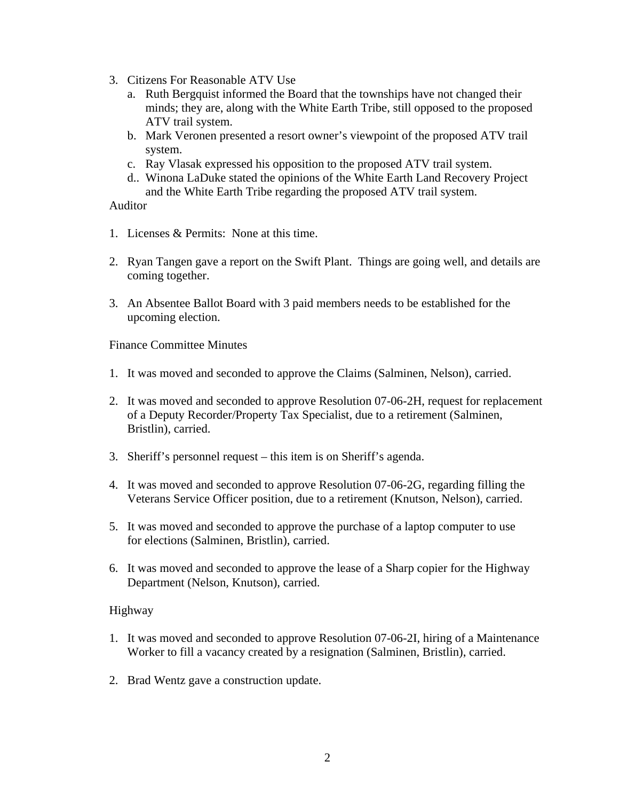- 3. Citizens For Reasonable ATV Use
	- a. Ruth Bergquist informed the Board that the townships have not changed their minds; they are, along with the White Earth Tribe, still opposed to the proposed ATV trail system.
	- b. Mark Veronen presented a resort owner's viewpoint of the proposed ATV trail system.
	- c. Ray Vlasak expressed his opposition to the proposed ATV trail system.
	- d.. Winona LaDuke stated the opinions of the White Earth Land Recovery Project and the White Earth Tribe regarding the proposed ATV trail system.

Auditor

- 1. Licenses & Permits: None at this time.
- 2. Ryan Tangen gave a report on the Swift Plant. Things are going well, and details are coming together.
- 3. An Absentee Ballot Board with 3 paid members needs to be established for the upcoming election.

Finance Committee Minutes

- 1. It was moved and seconded to approve the Claims (Salminen, Nelson), carried.
- 2. It was moved and seconded to approve Resolution 07-06-2H, request for replacement of a Deputy Recorder/Property Tax Specialist, due to a retirement (Salminen, Bristlin), carried.
- 3. Sheriff's personnel request this item is on Sheriff's agenda.
- 4. It was moved and seconded to approve Resolution 07-06-2G, regarding filling the Veterans Service Officer position, due to a retirement (Knutson, Nelson), carried.
- 5. It was moved and seconded to approve the purchase of a laptop computer to use for elections (Salminen, Bristlin), carried.
- 6. It was moved and seconded to approve the lease of a Sharp copier for the Highway Department (Nelson, Knutson), carried.

### Highway

- 1. It was moved and seconded to approve Resolution 07-06-2I, hiring of a Maintenance Worker to fill a vacancy created by a resignation (Salminen, Bristlin), carried.
- 2. Brad Wentz gave a construction update.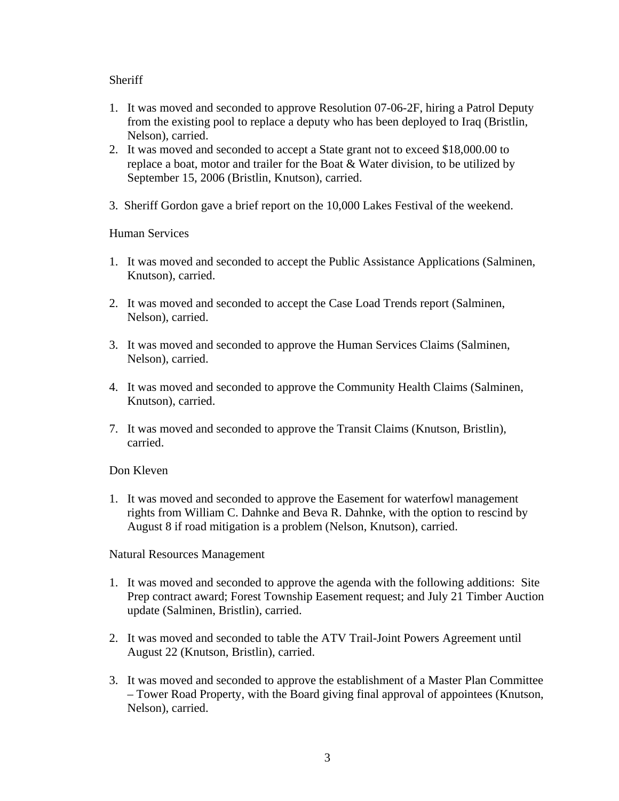## **Sheriff**

- 1. It was moved and seconded to approve Resolution 07-06-2F, hiring a Patrol Deputy from the existing pool to replace a deputy who has been deployed to Iraq (Bristlin, Nelson), carried.
- 2. It was moved and seconded to accept a State grant not to exceed \$18,000.00 to replace a boat, motor and trailer for the Boat & Water division, to be utilized by September 15, 2006 (Bristlin, Knutson), carried.
- 3. Sheriff Gordon gave a brief report on the 10,000 Lakes Festival of the weekend.

### Human Services

- 1. It was moved and seconded to accept the Public Assistance Applications (Salminen, Knutson), carried.
- 2. It was moved and seconded to accept the Case Load Trends report (Salminen, Nelson), carried.
- 3. It was moved and seconded to approve the Human Services Claims (Salminen, Nelson), carried.
- 4. It was moved and seconded to approve the Community Health Claims (Salminen, Knutson), carried.
- 7. It was moved and seconded to approve the Transit Claims (Knutson, Bristlin), carried.

# Don Kleven

1. It was moved and seconded to approve the Easement for waterfowl management rights from William C. Dahnke and Beva R. Dahnke, with the option to rescind by August 8 if road mitigation is a problem (Nelson, Knutson), carried.

Natural Resources Management

- 1. It was moved and seconded to approve the agenda with the following additions: Site Prep contract award; Forest Township Easement request; and July 21 Timber Auction update (Salminen, Bristlin), carried.
- 2. It was moved and seconded to table the ATV Trail-Joint Powers Agreement until August 22 (Knutson, Bristlin), carried.
- 3. It was moved and seconded to approve the establishment of a Master Plan Committee – Tower Road Property, with the Board giving final approval of appointees (Knutson, Nelson), carried.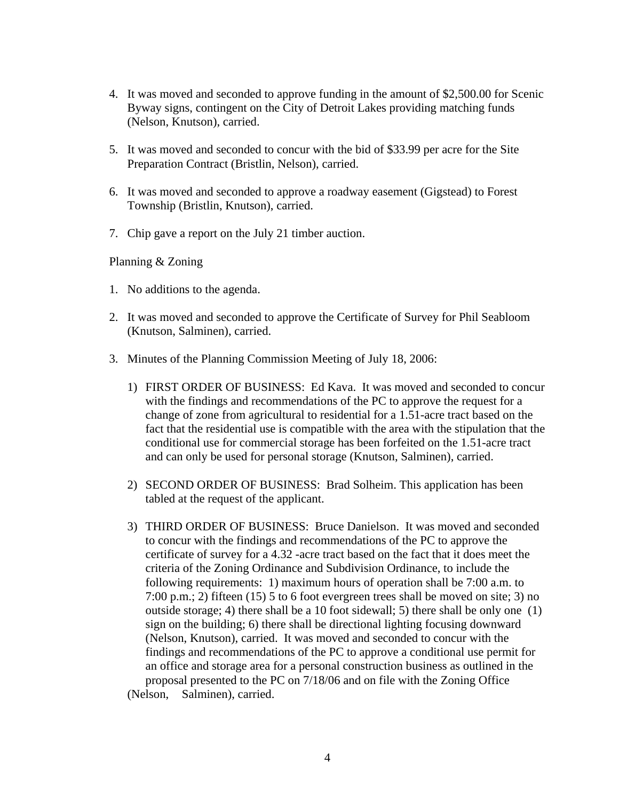- 4. It was moved and seconded to approve funding in the amount of \$2,500.00 for Scenic Byway signs, contingent on the City of Detroit Lakes providing matching funds (Nelson, Knutson), carried.
- 5. It was moved and seconded to concur with the bid of \$33.99 per acre for the Site Preparation Contract (Bristlin, Nelson), carried.
- 6. It was moved and seconded to approve a roadway easement (Gigstead) to Forest Township (Bristlin, Knutson), carried.
- 7. Chip gave a report on the July 21 timber auction.

Planning & Zoning

- 1. No additions to the agenda.
- 2. It was moved and seconded to approve the Certificate of Survey for Phil Seabloom (Knutson, Salminen), carried.
- 3. Minutes of the Planning Commission Meeting of July 18, 2006:
	- 1) FIRST ORDER OF BUSINESS: Ed Kava. It was moved and seconded to concur with the findings and recommendations of the PC to approve the request for a change of zone from agricultural to residential for a 1.51-acre tract based on the fact that the residential use is compatible with the area with the stipulation that the conditional use for commercial storage has been forfeited on the 1.51-acre tract and can only be used for personal storage (Knutson, Salminen), carried.
	- 2) SECOND ORDER OF BUSINESS: Brad Solheim. This application has been tabled at the request of the applicant.
	- 3) THIRD ORDER OF BUSINESS: Bruce Danielson. It was moved and seconded to concur with the findings and recommendations of the PC to approve the certificate of survey for a 4.32 -acre tract based on the fact that it does meet the criteria of the Zoning Ordinance and Subdivision Ordinance, to include the following requirements: 1) maximum hours of operation shall be 7:00 a.m. to 7:00 p.m.; 2) fifteen (15) 5 to 6 foot evergreen trees shall be moved on site; 3) no outside storage; 4) there shall be a 10 foot sidewall; 5) there shall be only one (1) sign on the building; 6) there shall be directional lighting focusing downward (Nelson, Knutson), carried. It was moved and seconded to concur with the findings and recommendations of the PC to approve a conditional use permit for an office and storage area for a personal construction business as outlined in the proposal presented to the PC on 7/18/06 and on file with the Zoning Office (Nelson, Salminen), carried.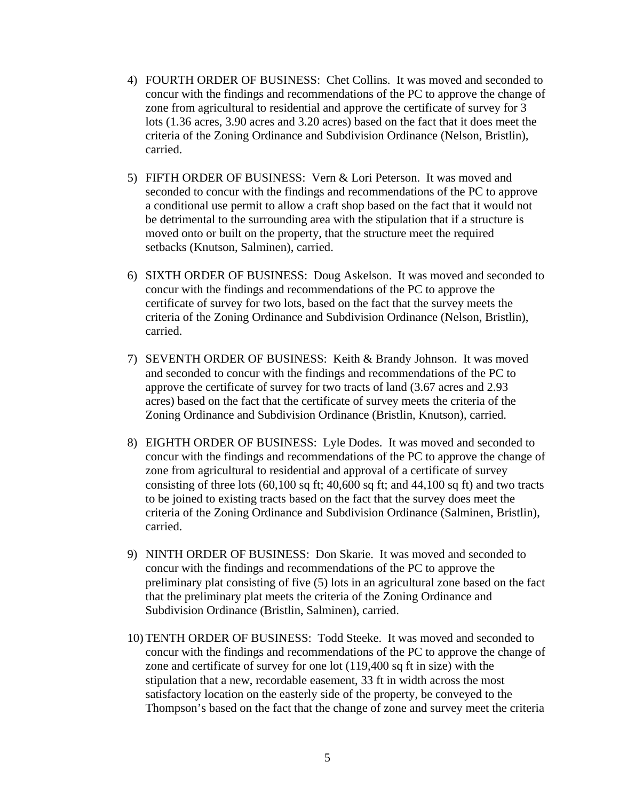- 4) FOURTH ORDER OF BUSINESS: Chet Collins. It was moved and seconded to concur with the findings and recommendations of the PC to approve the change of zone from agricultural to residential and approve the certificate of survey for 3 lots (1.36 acres, 3.90 acres and 3.20 acres) based on the fact that it does meet the criteria of the Zoning Ordinance and Subdivision Ordinance (Nelson, Bristlin), carried.
- 5) FIFTH ORDER OF BUSINESS: Vern & Lori Peterson. It was moved and seconded to concur with the findings and recommendations of the PC to approve a conditional use permit to allow a craft shop based on the fact that it would not be detrimental to the surrounding area with the stipulation that if a structure is moved onto or built on the property, that the structure meet the required setbacks (Knutson, Salminen), carried.
- 6) SIXTH ORDER OF BUSINESS: Doug Askelson. It was moved and seconded to concur with the findings and recommendations of the PC to approve the certificate of survey for two lots, based on the fact that the survey meets the criteria of the Zoning Ordinance and Subdivision Ordinance (Nelson, Bristlin), carried.
- 7) SEVENTH ORDER OF BUSINESS: Keith & Brandy Johnson. It was moved and seconded to concur with the findings and recommendations of the PC to approve the certificate of survey for two tracts of land (3.67 acres and 2.93 acres) based on the fact that the certificate of survey meets the criteria of the Zoning Ordinance and Subdivision Ordinance (Bristlin, Knutson), carried.
- 8) EIGHTH ORDER OF BUSINESS: Lyle Dodes. It was moved and seconded to concur with the findings and recommendations of the PC to approve the change of zone from agricultural to residential and approval of a certificate of survey consisting of three lots  $(60,100 \text{ sq ft}; 40,600 \text{ sq ft})$ ; and  $(44,100 \text{ sq ft})$  and two tracts to be joined to existing tracts based on the fact that the survey does meet the criteria of the Zoning Ordinance and Subdivision Ordinance (Salminen, Bristlin), carried.
- 9) NINTH ORDER OF BUSINESS: Don Skarie. It was moved and seconded to concur with the findings and recommendations of the PC to approve the preliminary plat consisting of five (5) lots in an agricultural zone based on the fact that the preliminary plat meets the criteria of the Zoning Ordinance and Subdivision Ordinance (Bristlin, Salminen), carried.
- 10) TENTH ORDER OF BUSINESS: Todd Steeke. It was moved and seconded to concur with the findings and recommendations of the PC to approve the change of zone and certificate of survey for one lot (119,400 sq ft in size) with the stipulation that a new, recordable easement, 33 ft in width across the most satisfactory location on the easterly side of the property, be conveyed to the Thompson's based on the fact that the change of zone and survey meet the criteria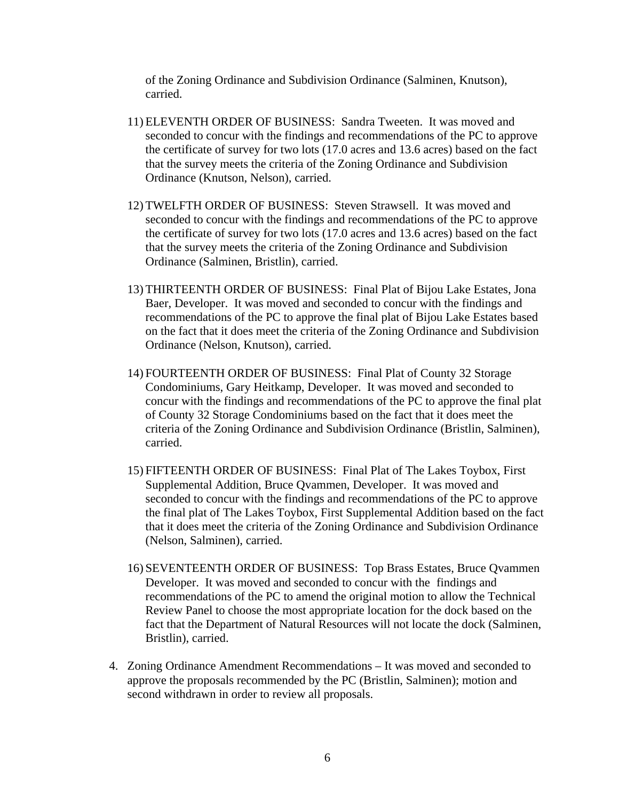of the Zoning Ordinance and Subdivision Ordinance (Salminen, Knutson), carried.

- 11) ELEVENTH ORDER OF BUSINESS: Sandra Tweeten. It was moved and seconded to concur with the findings and recommendations of the PC to approve the certificate of survey for two lots (17.0 acres and 13.6 acres) based on the fact that the survey meets the criteria of the Zoning Ordinance and Subdivision Ordinance (Knutson, Nelson), carried.
- 12) TWELFTH ORDER OF BUSINESS: Steven Strawsell. It was moved and seconded to concur with the findings and recommendations of the PC to approve the certificate of survey for two lots (17.0 acres and 13.6 acres) based on the fact that the survey meets the criteria of the Zoning Ordinance and Subdivision Ordinance (Salminen, Bristlin), carried.
- 13) THIRTEENTH ORDER OF BUSINESS: Final Plat of Bijou Lake Estates, Jona Baer, Developer. It was moved and seconded to concur with the findings and recommendations of the PC to approve the final plat of Bijou Lake Estates based on the fact that it does meet the criteria of the Zoning Ordinance and Subdivision Ordinance (Nelson, Knutson), carried.
- 14) FOURTEENTH ORDER OF BUSINESS: Final Plat of County 32 Storage Condominiums, Gary Heitkamp, Developer. It was moved and seconded to concur with the findings and recommendations of the PC to approve the final plat of County 32 Storage Condominiums based on the fact that it does meet the criteria of the Zoning Ordinance and Subdivision Ordinance (Bristlin, Salminen), carried.
- 15) FIFTEENTH ORDER OF BUSINESS: Final Plat of The Lakes Toybox, First Supplemental Addition, Bruce Qvammen, Developer. It was moved and seconded to concur with the findings and recommendations of the PC to approve the final plat of The Lakes Toybox, First Supplemental Addition based on the fact that it does meet the criteria of the Zoning Ordinance and Subdivision Ordinance (Nelson, Salminen), carried.
- 16) SEVENTEENTH ORDER OF BUSINESS: Top Brass Estates, Bruce Qvammen Developer. It was moved and seconded to concur with the findings and recommendations of the PC to amend the original motion to allow the Technical Review Panel to choose the most appropriate location for the dock based on the fact that the Department of Natural Resources will not locate the dock (Salminen, Bristlin), carried.
- 4. Zoning Ordinance Amendment Recommendations It was moved and seconded to approve the proposals recommended by the PC (Bristlin, Salminen); motion and second withdrawn in order to review all proposals.